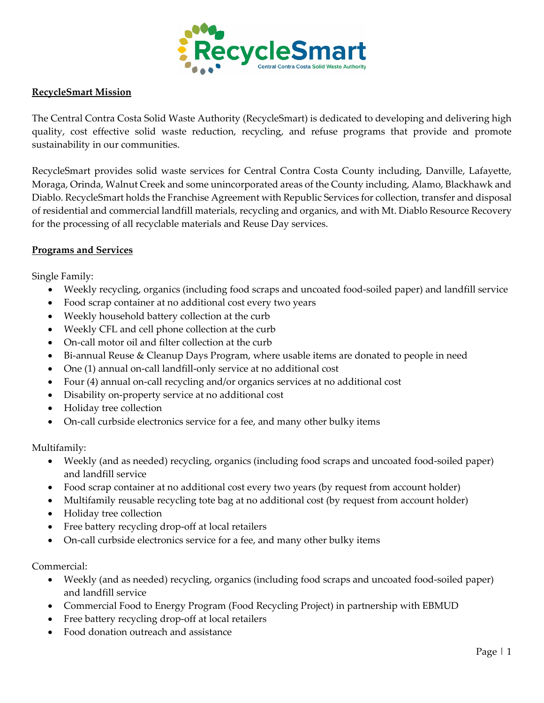

## **RecycleSmart Mission**

The Central Contra Costa Solid Waste Authority (RecycleSmart) is dedicated to developing and delivering high quality, cost effective solid waste reduction, recycling, and refuse programs that provide and promote sustainability in our communities.

RecycleSmart provides solid waste services for Central Contra Costa County including, Danville, Lafayette, Moraga, Orinda, Walnut Creek and some unincorporated areas of the County including, Alamo, Blackhawk and Diablo. RecycleSmart holds the Franchise Agreement with Republic Services for collection, transfer and disposal of residential and commercial landfill materials, recycling and organics, and with Mt. Diablo Resource Recovery for the processing of all recyclable materials and Reuse Day services.

## **Programs and Services**

Single Family:

- Weekly recycling, organics (including food scraps and uncoated food-soiled paper) and landfill service
- Food scrap container at no additional cost every two years
- Weekly household battery collection at the curb
- Weekly CFL and cell phone collection at the curb
- On-call motor oil and filter collection at the curb
- Bi-annual Reuse & Cleanup Days Program, where usable items are donated to people in need
- One (1) annual on-call landfill-only service at no additional cost
- Four (4) annual on-call recycling and/or organics services at no additional cost
- Disability on-property service at no additional cost
- Holiday tree collection
- On-call curbside electronics service for a fee, and many other bulky items

Multifamily:

- Weekly (and as needed) recycling, organics (including food scraps and uncoated food-soiled paper) and landfill service
- Food scrap container at no additional cost every two years (by request from account holder)
- Multifamily reusable recycling tote bag at no additional cost (by request from account holder)
- Holiday tree collection
- Free battery recycling drop-off at local retailers
- On-call curbside electronics service for a fee, and many other bulky items

Commercial:

- Weekly (and as needed) recycling, organics (including food scraps and uncoated food-soiled paper) and landfill service
- Commercial Food to Energy Program (Food Recycling Project) in partnership with EBMUD
- Free battery recycling drop-off at local retailers
- Food donation outreach and assistance